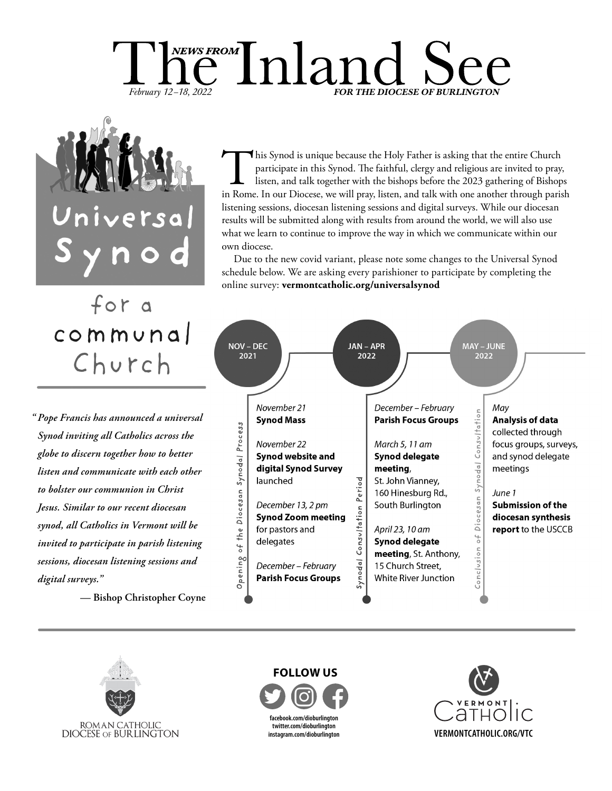# $\mathop{\mathrm{me}}\limits^{\text{\tiny{NEWS FROM}}}\!\!\operatorname{Inland}$ February 12-18, 2022 **FOR THE DIOCESE OF BURLINGTON**



This Synod is unique because the Holy Father is asking that the entire Church participate in this Synod. The faithful, clergy and religious are invited to pray, listen, and talk together with the bishops before the 2023 ga participate in this Synod. The faithful, clergy and religious are invited to pray, listen, and talk together with the bishops before the 2023 gathering of Bishops listening sessions, diocesan listening sessions and digital surveys. While our diocesan results will be submitted along with results from around the world, we will also use what we learn to continue to improve the way in which we communicate within our own diocese.

Due to the new covid variant, please note some changes to the Universal Synod schedule below. We are asking every parishioner to participate by completing the online survey: **vermontcatholic.org/universalsynod**

# for a  $commvna$ Church

*Pope Francis has announced a universal "Synod inviting all Catholics across the globe to discern together how to better listen and communicate with each other to bolster our communion in Christ Jesus. Similar to our recent diocesan synod, all Catholics in Vermont will be invited to participate in parish listening sessions, diocesan listening sessions and digital surveys."*

**— Bishop Christopher Coyne**





**facebook.com/dioburlington twitter.com/dioburlington instagram.com/dioburlington FOLLOW US**